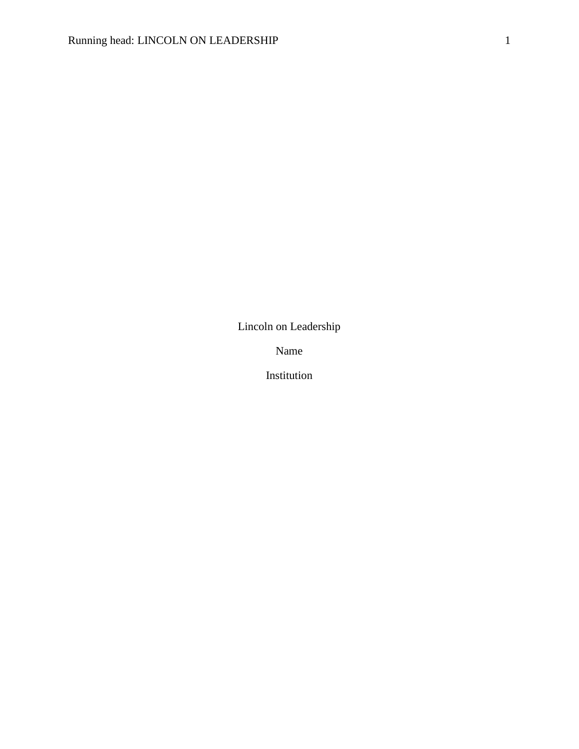Lincoln on Leadership

Name

Institution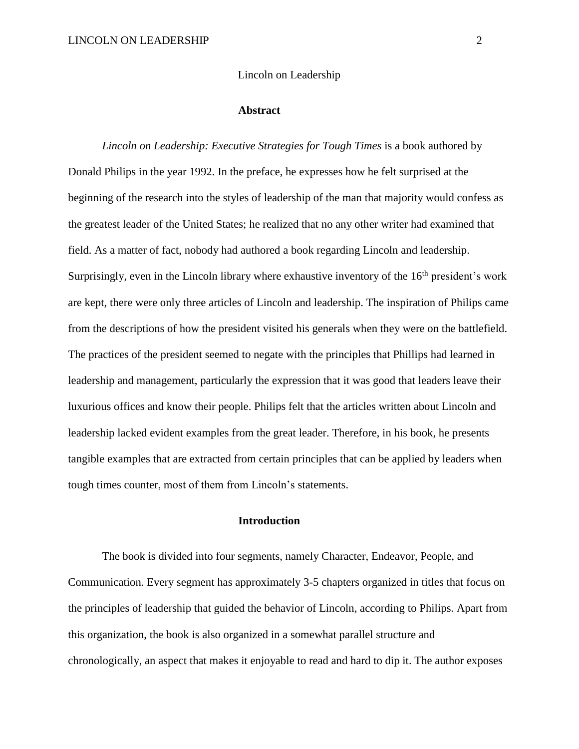### Lincoln on Leadership

#### **Abstract**

*Lincoln on Leadership: Executive Strategies for Tough Times* is a book authored by Donald Philips in the year 1992. In the preface, he expresses how he felt surprised at the beginning of the research into the styles of leadership of the man that majority would confess as the greatest leader of the United States; he realized that no any other writer had examined that field. As a matter of fact, nobody had authored a book regarding Lincoln and leadership. Surprisingly, even in the Lincoln library where exhaustive inventory of the  $16<sup>th</sup>$  president's work are kept, there were only three articles of Lincoln and leadership. The inspiration of Philips came from the descriptions of how the president visited his generals when they were on the battlefield. The practices of the president seemed to negate with the principles that Phillips had learned in leadership and management, particularly the expression that it was good that leaders leave their luxurious offices and know their people. Philips felt that the articles written about Lincoln and leadership lacked evident examples from the great leader. Therefore, in his book, he presents tangible examples that are extracted from certain principles that can be applied by leaders when tough times counter, most of them from Lincoln's statements.

## **Introduction**

The book is divided into four segments, namely Character, Endeavor, People, and Communication. Every segment has approximately 3-5 chapters organized in titles that focus on the principles of leadership that guided the behavior of Lincoln, according to Philips. Apart from this organization, the book is also organized in a somewhat parallel structure and chronologically, an aspect that makes it enjoyable to read and hard to dip it. The author exposes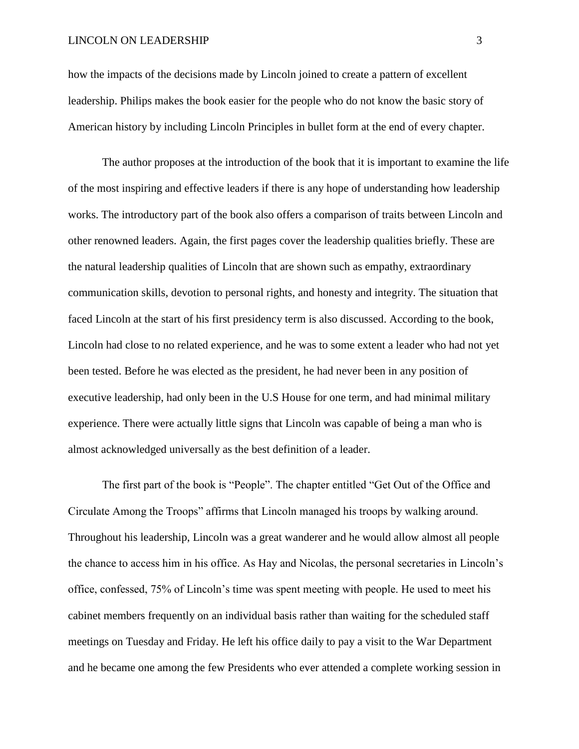#### LINCOLN ON LEADERSHIP 3

how the impacts of the decisions made by Lincoln joined to create a pattern of excellent leadership. Philips makes the book easier for the people who do not know the basic story of American history by including Lincoln Principles in bullet form at the end of every chapter.

The author proposes at the introduction of the book that it is important to examine the life of the most inspiring and effective leaders if there is any hope of understanding how leadership works. The introductory part of the book also offers a comparison of traits between Lincoln and other renowned leaders. Again, the first pages cover the leadership qualities briefly. These are the natural leadership qualities of Lincoln that are shown such as empathy, extraordinary communication skills, devotion to personal rights, and honesty and integrity. The situation that faced Lincoln at the start of his first presidency term is also discussed. According to the book, Lincoln had close to no related experience, and he was to some extent a leader who had not yet been tested. Before he was elected as the president, he had never been in any position of executive leadership, had only been in the U.S House for one term, and had minimal military experience. There were actually little signs that Lincoln was capable of being a man who is almost acknowledged universally as the best definition of a leader.

The first part of the book is "People". The chapter entitled "Get Out of the Office and Circulate Among the Troops" affirms that Lincoln managed his troops by walking around. Throughout his leadership, Lincoln was a great wanderer and he would allow almost all people the chance to access him in his office. As Hay and Nicolas, the personal secretaries in Lincoln's office, confessed, 75% of Lincoln's time was spent meeting with people. He used to meet his cabinet members frequently on an individual basis rather than waiting for the scheduled staff meetings on Tuesday and Friday. He left his office daily to pay a visit to the War Department and he became one among the few Presidents who ever attended a complete working session in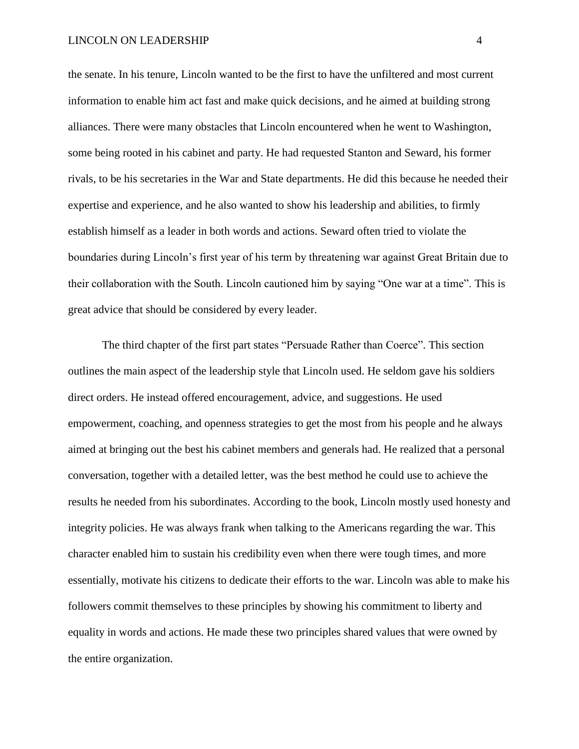the senate. In his tenure, Lincoln wanted to be the first to have the unfiltered and most current information to enable him act fast and make quick decisions, and he aimed at building strong alliances. There were many obstacles that Lincoln encountered when he went to Washington, some being rooted in his cabinet and party. He had requested Stanton and Seward, his former rivals, to be his secretaries in the War and State departments. He did this because he needed their expertise and experience, and he also wanted to show his leadership and abilities, to firmly establish himself as a leader in both words and actions. Seward often tried to violate the boundaries during Lincoln's first year of his term by threatening war against Great Britain due to their collaboration with the South. Lincoln cautioned him by saying "One war at a time". This is great advice that should be considered by every leader.

The third chapter of the first part states "Persuade Rather than Coerce". This section outlines the main aspect of the leadership style that Lincoln used. He seldom gave his soldiers direct orders. He instead offered encouragement, advice, and suggestions. He used empowerment, coaching, and openness strategies to get the most from his people and he always aimed at bringing out the best his cabinet members and generals had. He realized that a personal conversation, together with a detailed letter, was the best method he could use to achieve the results he needed from his subordinates. According to the book, Lincoln mostly used honesty and integrity policies. He was always frank when talking to the Americans regarding the war. This character enabled him to sustain his credibility even when there were tough times, and more essentially, motivate his citizens to dedicate their efforts to the war. Lincoln was able to make his followers commit themselves to these principles by showing his commitment to liberty and equality in words and actions. He made these two principles shared values that were owned by the entire organization.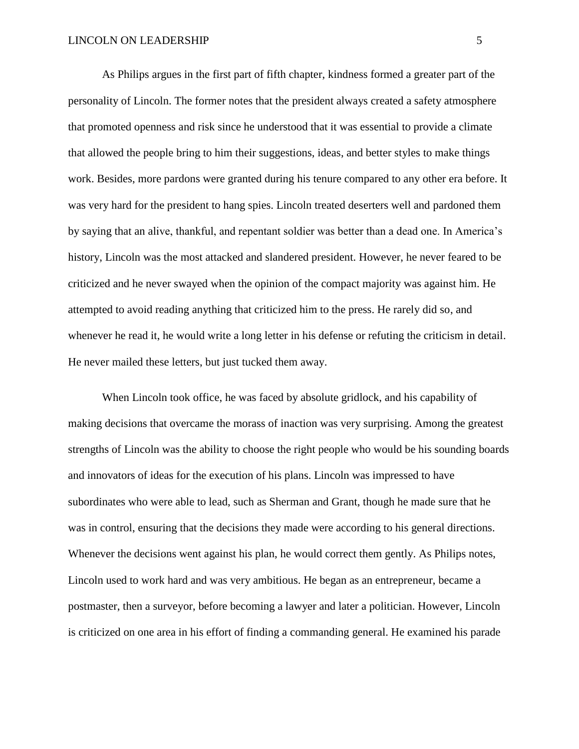As Philips argues in the first part of fifth chapter, kindness formed a greater part of the personality of Lincoln. The former notes that the president always created a safety atmosphere that promoted openness and risk since he understood that it was essential to provide a climate that allowed the people bring to him their suggestions, ideas, and better styles to make things work. Besides, more pardons were granted during his tenure compared to any other era before. It was very hard for the president to hang spies. Lincoln treated deserters well and pardoned them by saying that an alive, thankful, and repentant soldier was better than a dead one. In America's history, Lincoln was the most attacked and slandered president. However, he never feared to be criticized and he never swayed when the opinion of the compact majority was against him. He attempted to avoid reading anything that criticized him to the press. He rarely did so, and whenever he read it, he would write a long letter in his defense or refuting the criticism in detail. He never mailed these letters, but just tucked them away.

When Lincoln took office, he was faced by absolute gridlock, and his capability of making decisions that overcame the morass of inaction was very surprising. Among the greatest strengths of Lincoln was the ability to choose the right people who would be his sounding boards and innovators of ideas for the execution of his plans. Lincoln was impressed to have subordinates who were able to lead, such as Sherman and Grant, though he made sure that he was in control, ensuring that the decisions they made were according to his general directions. Whenever the decisions went against his plan, he would correct them gently. As Philips notes, Lincoln used to work hard and was very ambitious. He began as an entrepreneur, became a postmaster, then a surveyor, before becoming a lawyer and later a politician. However, Lincoln is criticized on one area in his effort of finding a commanding general. He examined his parade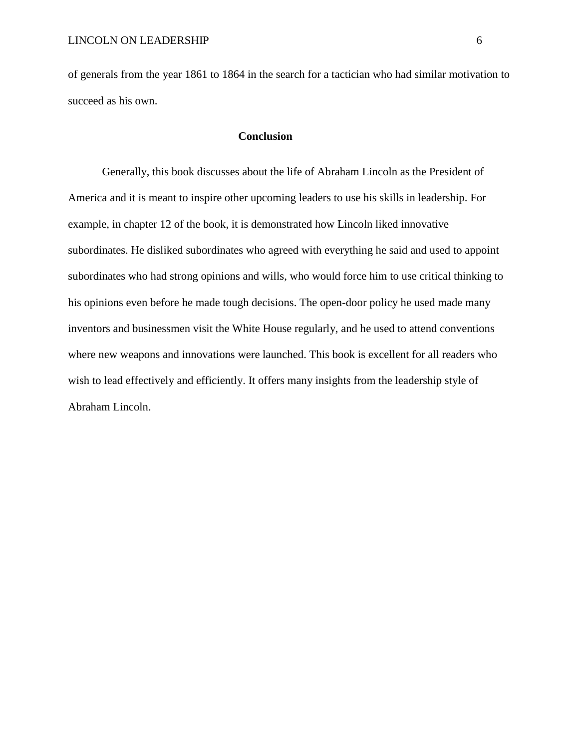of generals from the year 1861 to 1864 in the search for a tactician who had similar motivation to succeed as his own.

## **Conclusion**

Generally, this book discusses about the life of Abraham Lincoln as the President of America and it is meant to inspire other upcoming leaders to use his skills in leadership. For example, in chapter 12 of the book, it is demonstrated how Lincoln liked innovative subordinates. He disliked subordinates who agreed with everything he said and used to appoint subordinates who had strong opinions and wills, who would force him to use critical thinking to his opinions even before he made tough decisions. The open-door policy he used made many inventors and businessmen visit the White House regularly, and he used to attend conventions where new weapons and innovations were launched. This book is excellent for all readers who wish to lead effectively and efficiently. It offers many insights from the leadership style of Abraham Lincoln.